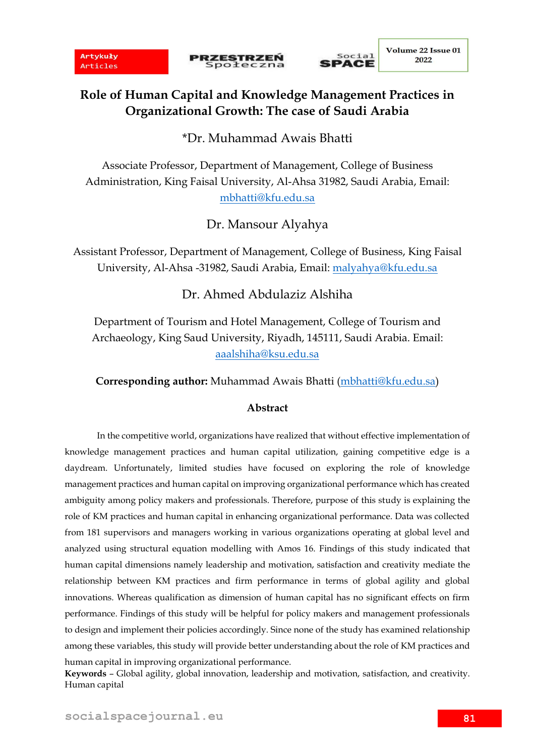**PRZESTRZEŃ**<br>Społeczna



# **Role of Human Capital and Knowledge Management Practices in Organizational Growth: The case of Saudi Arabia**

\*Dr. Muhammad Awais Bhatti

Associate Professor, Department of Management, College of Business Administration, King Faisal University, Al-Ahsa 31982, Saudi Arabia, Email: [mbhatti@kfu.edu.sa](mailto:mbhatti@kfu.edu.sa)

Dr. Mansour Alyahya

Assistant Professor, Department of Management, College of Business, King Faisal University, Al-Ahsa -31982, Saudi Arabia, Email: [malyahya@kfu.edu.sa](mailto:malyahya@kfu.edu.sa)

Dr. Ahmed Abdulaziz Alshiha

Department of Tourism and Hotel Management, College of Tourism and Archaeology, King Saud University, Riyadh, 145111, Saudi Arabia. Email: [aaalshiha@ksu.edu.sa](mailto:aaalshiha@ksu.edu.sa)

**Corresponding author:** Muhammad Awais Bhatti [\(mbhatti@kfu.edu.sa\)](mailto:mbhatti@kfu.edu.sa)

### **Abstract**

In the competitive world, organizations have realized that without effective implementation of knowledge management practices and human capital utilization, gaining competitive edge is a daydream. Unfortunately, limited studies have focused on exploring the role of knowledge management practices and human capital on improving organizational performance which has created ambiguity among policy makers and professionals. Therefore, purpose of this study is explaining the role of KM practices and human capital in enhancing organizational performance. Data was collected from 181 supervisors and managers working in various organizations operating at global level and analyzed using structural equation modelling with Amos 16. Findings of this study indicated that human capital dimensions namely leadership and motivation, satisfaction and creativity mediate the relationship between KM practices and firm performance in terms of global agility and global innovations. Whereas qualification as dimension of human capital has no significant effects on firm performance. Findings of this study will be helpful for policy makers and management professionals to design and implement their policies accordingly. Since none of the study has examined relationship among these variables, this study will provide better understanding about the role of KM practices and human capital in improving organizational performance.

**Keywords** – Global agility, global innovation, leadership and motivation, satisfaction, and creativity. Human capital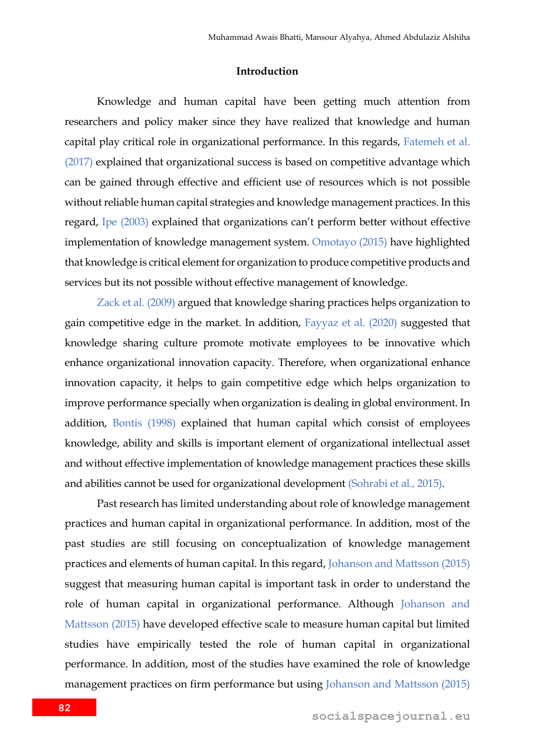### **Introduction**

Knowledge and human capital have been getting much attention from researchers and policy maker since they have realized that knowledge and human capital play critical role in organizational performance. In this regards, Fatemeh et al. (2017) explained that organizational success is based on competitive advantage which can be gained through effective and efficient use of resources which is not possible without reliable human capital strategies and knowledge management practices. In this regard, Ipe (2003) explained that organizations can't perform better without effective implementation of knowledge management system. Omotayo (2015) have highlighted that knowledge is critical element for organization to produce competitive products and services but its not possible without effective management of knowledge.

Zack et al. (2009) argued that knowledge sharing practices helps organization to gain competitive edge in the market. In addition, Fayyaz et al. (2020) suggested that knowledge sharing culture promote motivate employees to be innovative which enhance organizational innovation capacity. Therefore, when organizational enhance innovation capacity, it helps to gain competitive edge which helps organization to improve performance specially when organization is dealing in global environment. In addition, Bontis (1998) explained that human capital which consist of employees knowledge, ability and skills is important element of organizational intellectual asset and without effective implementation of knowledge management practices these skills and abilities cannot be used for organizational development (Sohrabi et al., 2015).

Past research has limited understanding about role of knowledge management practices and human capital in organizational performance. In addition, most of the past studies are still focusing on conceptualization of knowledge management practices and elements of human capital. In this regard, Johanson and Mattsson (2015) suggest that measuring human capital is important task in order to understand the role of human capital in organizational performance. Although Johanson and Mattsson (2015) have developed effective scale to measure human capital but limited studies have empirically tested the role of human capital in organizational performance. In addition, most of the studies have examined the role of knowledge management practices on firm performance but using Johanson and Mattsson (2015)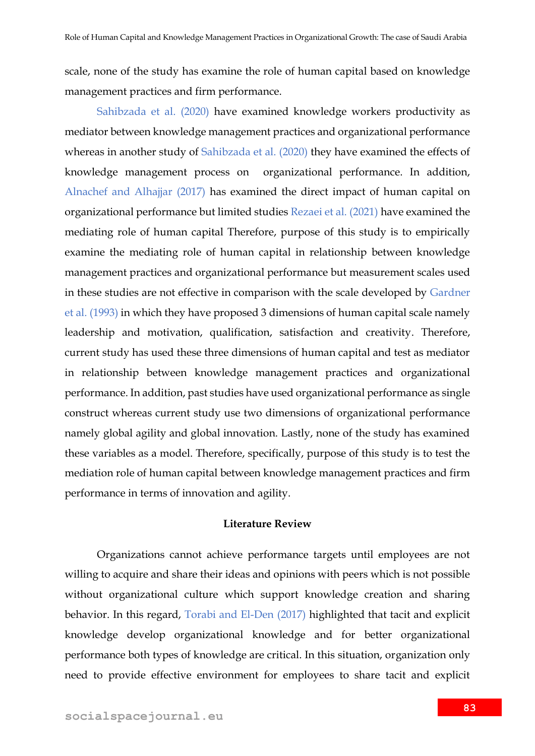scale, none of the study has examine the role of human capital based on knowledge management practices and firm performance.

Sahibzada et al. (2020) have examined knowledge workers productivity as mediator between knowledge management practices and organizational performance whereas in another study of Sahibzada et al. (2020) they have examined the effects of knowledge management process on organizational performance. In addition, Alnachef and Alhajjar (2017) has examined the direct impact of human capital on organizational performance but limited studies Rezaei et al. (2021) have examined the mediating role of human capital Therefore, purpose of this study is to empirically examine the mediating role of human capital in relationship between knowledge management practices and organizational performance but measurement scales used in these studies are not effective in comparison with the scale developed by Gardner et al. (1993) in which they have proposed 3 dimensions of human capital scale namely leadership and motivation, qualification, satisfaction and creativity. Therefore, current study has used these three dimensions of human capital and test as mediator in relationship between knowledge management practices and organizational performance. In addition, past studies have used organizational performance as single construct whereas current study use two dimensions of organizational performance namely global agility and global innovation. Lastly, none of the study has examined these variables as a model. Therefore, specifically, purpose of this study is to test the mediation role of human capital between knowledge management practices and firm performance in terms of innovation and agility.

### **Literature Review**

Organizations cannot achieve performance targets until employees are not willing to acquire and share their ideas and opinions with peers which is not possible without organizational culture which support knowledge creation and sharing behavior. In this regard, Torabi and El-Den (2017) highlighted that tacit and explicit knowledge develop organizational knowledge and for better organizational performance both types of knowledge are critical. In this situation, organization only need to provide effective environment for employees to share tacit and explicit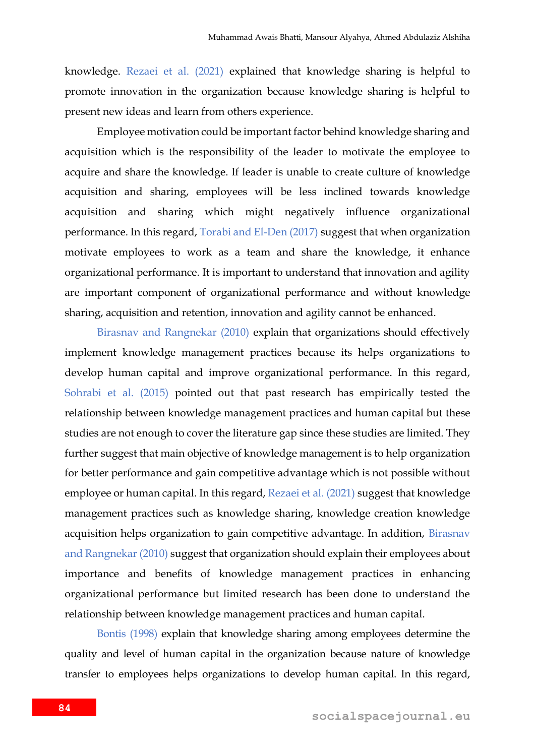knowledge. Rezaei et al. (2021) explained that knowledge sharing is helpful to promote innovation in the organization because knowledge sharing is helpful to present new ideas and learn from others experience.

Employee motivation could be important factor behind knowledge sharing and acquisition which is the responsibility of the leader to motivate the employee to acquire and share the knowledge. If leader is unable to create culture of knowledge acquisition and sharing, employees will be less inclined towards knowledge acquisition and sharing which might negatively influence organizational performance. In this regard, Torabi and El-Den (2017) suggest that when organization motivate employees to work as a team and share the knowledge, it enhance organizational performance. It is important to understand that innovation and agility are important component of organizational performance and without knowledge sharing, acquisition and retention, innovation and agility cannot be enhanced.

Birasnav and Rangnekar (2010) explain that organizations should effectively implement knowledge management practices because its helps organizations to develop human capital and improve organizational performance. In this regard, Sohrabi et al. (2015) pointed out that past research has empirically tested the relationship between knowledge management practices and human capital but these studies are not enough to cover the literature gap since these studies are limited. They further suggest that main objective of knowledge management is to help organization for better performance and gain competitive advantage which is not possible without employee or human capital. In this regard, Rezaei et al. (2021) suggest that knowledge management practices such as knowledge sharing, knowledge creation knowledge acquisition helps organization to gain competitive advantage. In addition, Birasnav and Rangnekar (2010) suggest that organization should explain their employees about importance and benefits of knowledge management practices in enhancing organizational performance but limited research has been done to understand the relationship between knowledge management practices and human capital.

Bontis (1998) explain that knowledge sharing among employees determine the quality and level of human capital in the organization because nature of knowledge transfer to employees helps organizations to develop human capital. In this regard,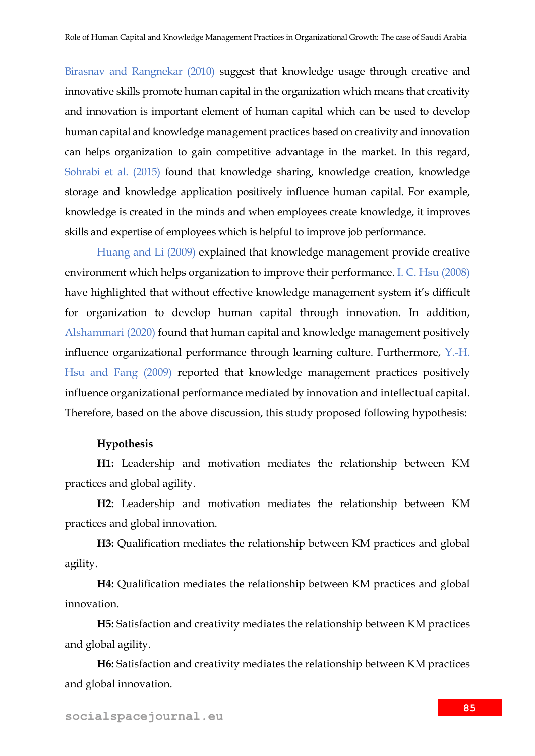Birasnav and Rangnekar (2010) suggest that knowledge usage through creative and innovative skills promote human capital in the organization which means that creativity and innovation is important element of human capital which can be used to develop human capital and knowledge management practices based on creativity and innovation can helps organization to gain competitive advantage in the market. In this regard, Sohrabi et al. (2015) found that knowledge sharing, knowledge creation, knowledge storage and knowledge application positively influence human capital. For example, knowledge is created in the minds and when employees create knowledge, it improves skills and expertise of employees which is helpful to improve job performance.

Huang and Li (2009) explained that knowledge management provide creative environment which helps organization to improve their performance. I. C. Hsu (2008) have highlighted that without effective knowledge management system it's difficult for organization to develop human capital through innovation. In addition, Alshammari (2020) found that human capital and knowledge management positively influence organizational performance through learning culture. Furthermore, Y.-H. Hsu and Fang (2009) reported that knowledge management practices positively influence organizational performance mediated by innovation and intellectual capital. Therefore, based on the above discussion, this study proposed following hypothesis:

### **Hypothesis**

**H1:** Leadership and motivation mediates the relationship between KM practices and global agility.

**H2:** Leadership and motivation mediates the relationship between KM practices and global innovation.

**H3:** Qualification mediates the relationship between KM practices and global agility.

**H4:** Qualification mediates the relationship between KM practices and global innovation.

**H5:** Satisfaction and creativity mediates the relationship between KM practices and global agility.

**H6:** Satisfaction and creativity mediates the relationship between KM practices and global innovation.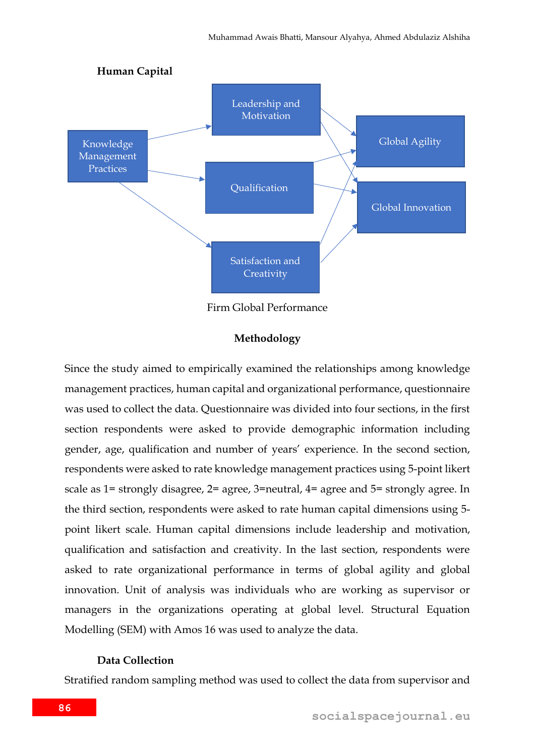

Firm Global Performance

### **Methodology**

Since the study aimed to empirically examined the relationships among knowledge management practices, human capital and organizational performance, questionnaire was used to collect the data. Questionnaire was divided into four sections, in the first section respondents were asked to provide demographic information including gender, age, qualification and number of years' experience. In the second section, respondents were asked to rate knowledge management practices using 5-point likert scale as 1= strongly disagree, 2= agree, 3=neutral, 4= agree and 5= strongly agree. In the third section, respondents were asked to rate human capital dimensions using 5 point likert scale. Human capital dimensions include leadership and motivation, qualification and satisfaction and creativity. In the last section, respondents were asked to rate organizational performance in terms of global agility and global innovation. Unit of analysis was individuals who are working as supervisor or managers in the organizations operating at global level. Structural Equation Modelling (SEM) with Amos 16 was used to analyze the data.

#### **Data Collection**

Stratified random sampling method was used to collect the data from supervisor and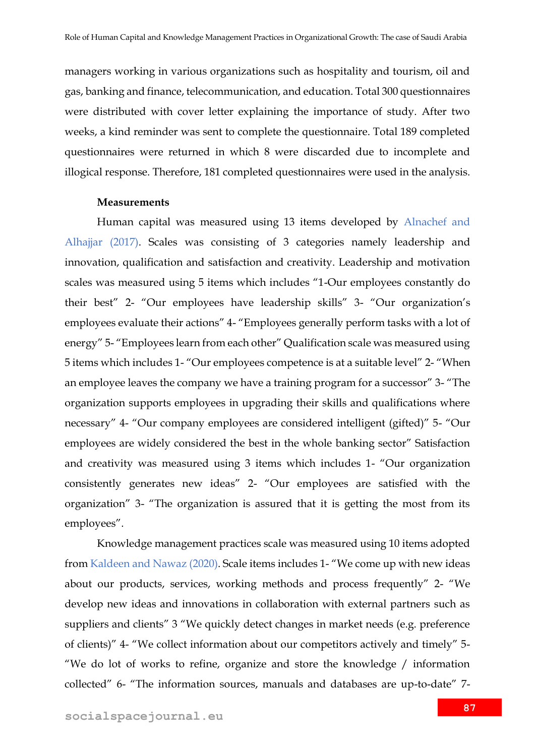managers working in various organizations such as hospitality and tourism, oil and gas, banking and finance, telecommunication, and education. Total 300 questionnaires were distributed with cover letter explaining the importance of study. After two weeks, a kind reminder was sent to complete the questionnaire. Total 189 completed questionnaires were returned in which 8 were discarded due to incomplete and illogical response. Therefore, 181 completed questionnaires were used in the analysis.

### **Measurements**

Human capital was measured using 13 items developed by Alnachef and Alhajjar (2017). Scales was consisting of 3 categories namely leadership and innovation, qualification and satisfaction and creativity. Leadership and motivation scales was measured using 5 items which includes "1-Our employees constantly do their best" 2- "Our employees have leadership skills" 3- "Our organization's employees evaluate their actions" 4- "Employees generally perform tasks with a lot of energy" 5- "Employees learn from each other" Qualification scale was measured using 5 items which includes 1- "Our employees competence is at a suitable level" 2- "When an employee leaves the company we have a training program for a successor" 3- "The organization supports employees in upgrading their skills and qualifications where necessary" 4- "Our company employees are considered intelligent (gifted)" 5- "Our employees are widely considered the best in the whole banking sector" Satisfaction and creativity was measured using 3 items which includes 1- "Our organization consistently generates new ideas" 2- "Our employees are satisfied with the organization" 3- "The organization is assured that it is getting the most from its employees".

Knowledge management practices scale was measured using 10 items adopted from Kaldeen and Nawaz (2020). Scale items includes 1- "We come up with new ideas about our products, services, working methods and process frequently" 2- "We develop new ideas and innovations in collaboration with external partners such as suppliers and clients" 3 "We quickly detect changes in market needs (e.g. preference of clients)" 4- "We collect information about our competitors actively and timely" 5- "We do lot of works to refine, organize and store the knowledge / information collected" 6- "The information sources, manuals and databases are up-to-date" 7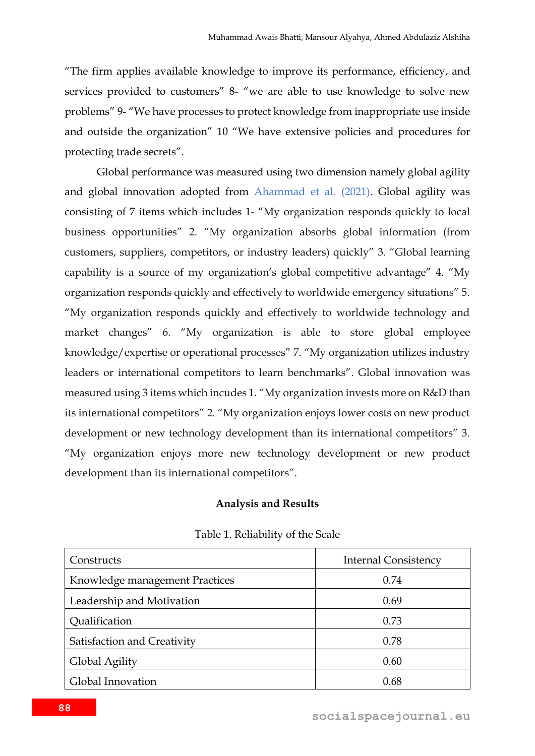"The firm applies available knowledge to improve its performance, efficiency, and services provided to customers" 8- "we are able to use knowledge to solve new problems" 9- "We have processes to protect knowledge from inappropriate use inside and outside the organization" 10 "We have extensive policies and procedures for protecting trade secrets".

Global performance was measured using two dimension namely global agility and global innovation adopted from Ahammad et al. (2021). Global agility was consisting of 7 items which includes 1- "My organization responds quickly to local business opportunities" 2. "My organization absorbs global information (from customers, suppliers, competitors, or industry leaders) quickly" 3. "Global learning capability is a source of my organization's global competitive advantage" 4. "My organization responds quickly and effectively to worldwide emergency situations" 5. "My organization responds quickly and effectively to worldwide technology and market changes" 6. "My organization is able to store global employee knowledge/expertise or operational processes" 7. "My organization utilizes industry leaders or international competitors to learn benchmarks". Global innovation was measured using 3 items which incudes 1. "My organization invests more on R&D than its international competitors" 2. "My organization enjoys lower costs on new product development or new technology development than its international competitors" 3. "My organization enjoys more new technology development or new product development than its international competitors".

### **Analysis and Results**

| Constructs                     | <b>Internal Consistency</b> |
|--------------------------------|-----------------------------|
| Knowledge management Practices | 0.74                        |
| Leadership and Motivation      | 0.69                        |
| Qualification                  | 0.73                        |
| Satisfaction and Creativity    | 0.78                        |
| Global Agility                 | 0.60                        |
| Global Innovation              | 0.68                        |

### Table 1. Reliability of the Scale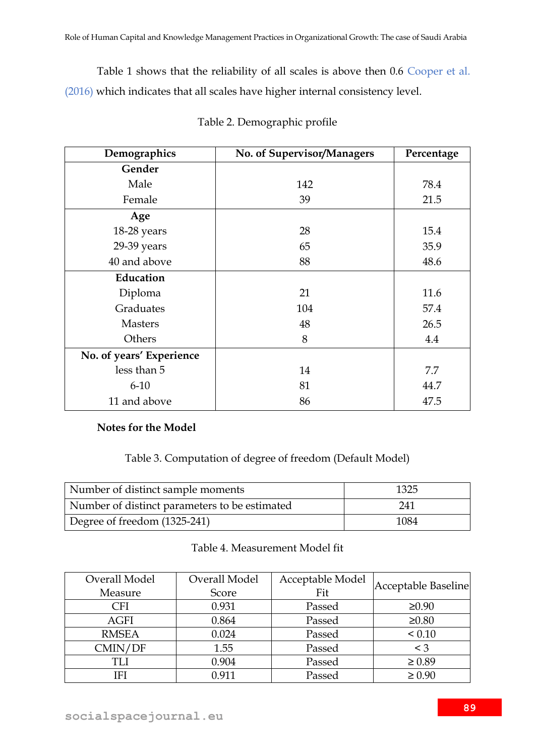Table 1 shows that the reliability of all scales is above then 0.6 Cooper et al. (2016) which indicates that all scales have higher internal consistency level.

| Demographics             | No. of Supervisor/Managers | Percentage |  |
|--------------------------|----------------------------|------------|--|
| Gender                   |                            |            |  |
| Male                     | 142                        | 78.4       |  |
| Female                   | 39                         | 21.5       |  |
| Age                      |                            |            |  |
| 18-28 years              | 28                         | 15.4       |  |
| 29-39 years              | 65                         | 35.9       |  |
| 40 and above             | 88                         | 48.6       |  |
| Education                |                            |            |  |
| Diploma                  | 21                         | 11.6       |  |
| Graduates                | 104                        | 57.4       |  |
| <b>Masters</b>           | 48                         | 26.5       |  |
| Others                   | 8                          | 4.4        |  |
| No. of years' Experience |                            |            |  |
| less than 5              | 14                         | 7.7        |  |
| $6-10$                   | 81                         | 44.7       |  |
| 11 and above             | 86                         | 47.5       |  |

| Table 2. Demographic profile |  |
|------------------------------|--|
|                              |  |

# **Notes for the Model**

## Table 3. Computation of degree of freedom (Default Model)

| Number of distinct sample moments             | 1325 |
|-----------------------------------------------|------|
| Number of distinct parameters to be estimated | 241  |
| Degree of freedom (1325-241)                  | 1084 |

### Table 4. Measurement Model fit

| Overall Model | Overall Model | Acceptable Model | Acceptable Baseline |
|---------------|---------------|------------------|---------------------|
| Measure       | Score         | Fit              |                     |
| CFI           | 0.931         | Passed           | $\geq 0.90$         |
| <b>AGFI</b>   | 0.864         | Passed           | $\geq 0.80$         |
| <b>RMSEA</b>  | 0.024         | Passed           | < 0.10              |
| CMIN/DF       | 1.55          | Passed           | $\leq 3$            |
| TLI           | 0.904         | Passed           | $\geq 0.89$         |
| IFI           | 0.911         | Passed           | $\geq 0.90$         |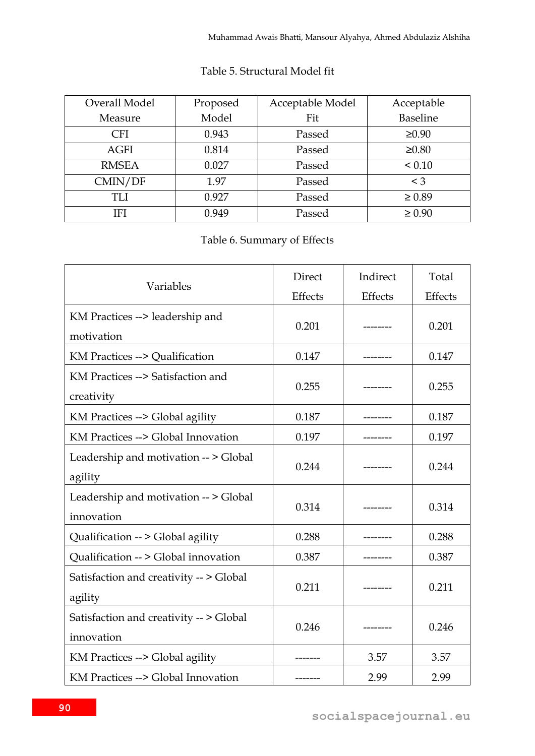| Overall Model | Proposed | Acceptable Model | Acceptable      |
|---------------|----------|------------------|-----------------|
| Measure       | Model    | Fit              | <b>Baseline</b> |
| <b>CFI</b>    | 0.943    | Passed           | $\geq 0.90$     |
| <b>AGFI</b>   | 0.814    | Passed           | $\geq 0.80$     |
| <b>RMSEA</b>  | 0.027    | Passed           | ${}_{0.10}$     |
| CMIN/DF       | 1.97     | Passed           | $<$ 3           |
| TLI           | 0.927    | Passed           | $\geq 0.89$     |
| <b>IFI</b>    | 0.949    | Passed           | $\geq 0.90$     |

### Table 5. Structural Model fit

# Table 6. Summary of Effects

|                                         | Direct  | Indirect  | Total   |  |
|-----------------------------------------|---------|-----------|---------|--|
| Variables                               | Effects | Effects   | Effects |  |
| KM Practices --> leadership and         | 0.201   | --------  | 0.201   |  |
| motivation                              |         |           |         |  |
| KM Practices --> Qualification          | 0.147   |           | 0.147   |  |
| KM Practices --> Satisfaction and       |         |           | 0.255   |  |
| creativity                              | 0.255   |           |         |  |
| KM Practices --> Global agility         | 0.187   | --------  | 0.187   |  |
| KM Practices --> Global Innovation      | 0.197   |           | 0.197   |  |
| Leadership and motivation -- > Global   |         |           |         |  |
| agility                                 | 0.244   |           | 0.244   |  |
| Leadership and motivation -- > Global   |         |           |         |  |
| innovation                              | 0.314   | --------- | 0.314   |  |
| Qualification -- > Global agility       | 0.288   |           | 0.288   |  |
| Qualification -- > Global innovation    | 0.387   |           | 0.387   |  |
| Satisfaction and creativity -- > Global |         |           |         |  |
| agility                                 | 0.211   | --------  | 0.211   |  |
| Satisfaction and creativity -- > Global |         |           |         |  |
| innovation                              | 0.246   |           | 0.246   |  |
| KM Practices --> Global agility         |         | 3.57      | 3.57    |  |
| KM Practices --> Global Innovation      | ------- | 2.99      | 2.99    |  |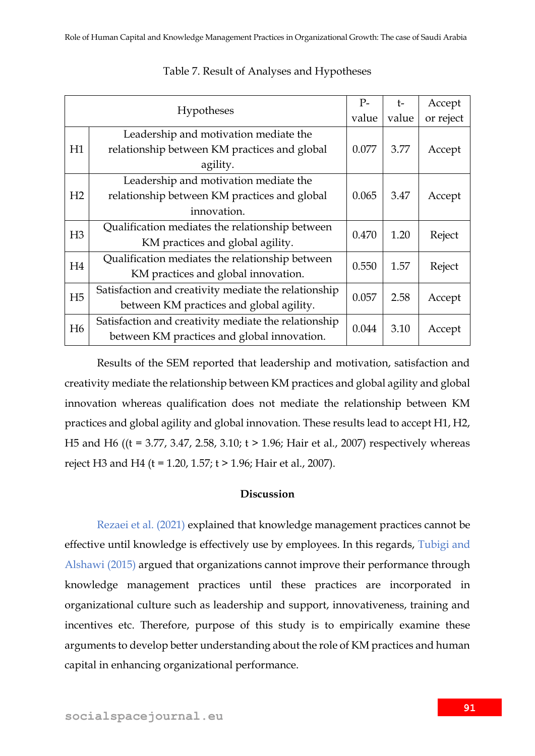| Hypotheses     |                                                      | $P-$  | $\dagger$ - | Accept    |
|----------------|------------------------------------------------------|-------|-------------|-----------|
|                |                                                      | value | value       | or reject |
|                | Leadership and motivation mediate the                |       |             |           |
| H1             | relationship between KM practices and global         | 0.077 | 3.77        | Accept    |
|                | agility.                                             |       |             |           |
|                | Leadership and motivation mediate the                |       |             |           |
| H2             | relationship between KM practices and global         | 0.065 | 3.47        | Accept    |
|                | innovation.                                          |       |             |           |
|                | Qualification mediates the relationship between      | 0.470 | 1.20        | Reject    |
| H <sub>3</sub> | KM practices and global agility.                     |       |             |           |
|                | Qualification mediates the relationship between      |       |             |           |
| H4             | KM practices and global innovation.                  | 0.550 | 1.57        | Reject    |
| H <sub>5</sub> | Satisfaction and creativity mediate the relationship | 0.057 | 2.58        | Accept    |
|                | between KM practices and global agility.             |       |             |           |
| H <sub>6</sub> | Satisfaction and creativity mediate the relationship | 0.044 | 3.10        | Accept    |
|                | between KM practices and global innovation.          |       |             |           |

### Table 7. Result of Analyses and Hypotheses

Results of the SEM reported that leadership and motivation, satisfaction and creativity mediate the relationship between KM practices and global agility and global innovation whereas qualification does not mediate the relationship between KM practices and global agility and global innovation. These results lead to accept H1, H2, H5 and H6 ((t = 3.77, 3.47, 2.58, 3.10; t > 1.96; Hair et al., 2007) respectively whereas reject H3 and H4 (t = 1.20, 1.57; t > 1.96; Hair et al., 2007).

### **Discussion**

Rezaei et al. (2021) explained that knowledge management practices cannot be effective until knowledge is effectively use by employees. In this regards, Tubigi and Alshawi (2015) argued that organizations cannot improve their performance through knowledge management practices until these practices are incorporated in organizational culture such as leadership and support, innovativeness, training and incentives etc. Therefore, purpose of this study is to empirically examine these arguments to develop better understanding about the role of KM practices and human capital in enhancing organizational performance.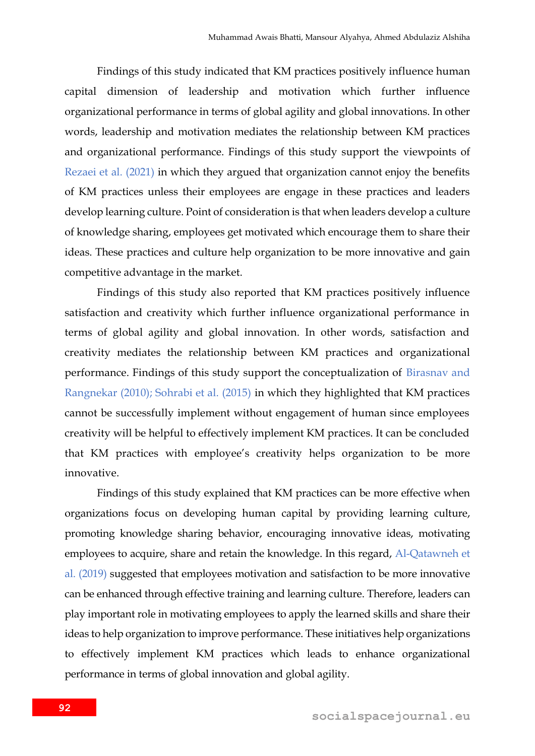Findings of this study indicated that KM practices positively influence human capital dimension of leadership and motivation which further influence organizational performance in terms of global agility and global innovations. In other words, leadership and motivation mediates the relationship between KM practices and organizational performance. Findings of this study support the viewpoints of Rezaei et al. (2021) in which they argued that organization cannot enjoy the benefits of KM practices unless their employees are engage in these practices and leaders develop learning culture. Point of consideration is that when leaders develop a culture of knowledge sharing, employees get motivated which encourage them to share their ideas. These practices and culture help organization to be more innovative and gain competitive advantage in the market.

Findings of this study also reported that KM practices positively influence satisfaction and creativity which further influence organizational performance in terms of global agility and global innovation. In other words, satisfaction and creativity mediates the relationship between KM practices and organizational performance. Findings of this study support the conceptualization of Birasnav and Rangnekar (2010); Sohrabi et al. (2015) in which they highlighted that KM practices cannot be successfully implement without engagement of human since employees creativity will be helpful to effectively implement KM practices. It can be concluded that KM practices with employee's creativity helps organization to be more innovative.

Findings of this study explained that KM practices can be more effective when organizations focus on developing human capital by providing learning culture, promoting knowledge sharing behavior, encouraging innovative ideas, motivating employees to acquire, share and retain the knowledge. In this regard, Al-Qatawneh et al. (2019) suggested that employees motivation and satisfaction to be more innovative can be enhanced through effective training and learning culture. Therefore, leaders can play important role in motivating employees to apply the learned skills and share their ideas to help organization to improve performance. These initiatives help organizations to effectively implement KM practices which leads to enhance organizational performance in terms of global innovation and global agility.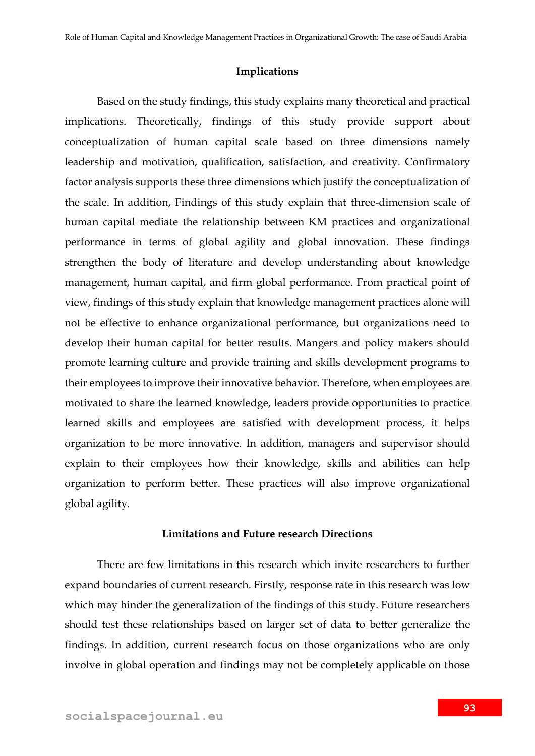### **Implications**

Based on the study findings, this study explains many theoretical and practical implications. Theoretically, findings of this study provide support about conceptualization of human capital scale based on three dimensions namely leadership and motivation, qualification, satisfaction, and creativity. Confirmatory factor analysis supports these three dimensions which justify the conceptualization of the scale. In addition, Findings of this study explain that three-dimension scale of human capital mediate the relationship between KM practices and organizational performance in terms of global agility and global innovation. These findings strengthen the body of literature and develop understanding about knowledge management, human capital, and firm global performance. From practical point of view, findings of this study explain that knowledge management practices alone will not be effective to enhance organizational performance, but organizations need to develop their human capital for better results. Mangers and policy makers should promote learning culture and provide training and skills development programs to their employees to improve their innovative behavior. Therefore, when employees are motivated to share the learned knowledge, leaders provide opportunities to practice learned skills and employees are satisfied with development process, it helps organization to be more innovative. In addition, managers and supervisor should explain to their employees how their knowledge, skills and abilities can help organization to perform better. These practices will also improve organizational global agility.

#### **Limitations and Future research Directions**

There are few limitations in this research which invite researchers to further expand boundaries of current research. Firstly, response rate in this research was low which may hinder the generalization of the findings of this study. Future researchers should test these relationships based on larger set of data to better generalize the findings. In addition, current research focus on those organizations who are only involve in global operation and findings may not be completely applicable on those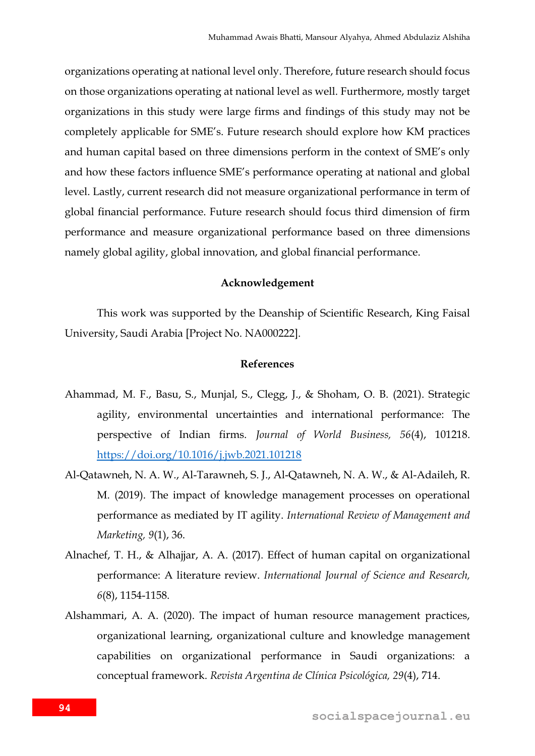organizations operating at national level only. Therefore, future research should focus on those organizations operating at national level as well. Furthermore, mostly target organizations in this study were large firms and findings of this study may not be completely applicable for SME's. Future research should explore how KM practices and human capital based on three dimensions perform in the context of SME's only and how these factors influence SME's performance operating at national and global level. Lastly, current research did not measure organizational performance in term of global financial performance. Future research should focus third dimension of firm performance and measure organizational performance based on three dimensions namely global agility, global innovation, and global financial performance.

### **Acknowledgement**

This work was supported by the Deanship of Scientific Research, King Faisal University, Saudi Arabia [Project No. NA000222].

### **References**

- Ahammad, M. F., Basu, S., Munjal, S., Clegg, J., & Shoham, O. B. (2021). Strategic agility, environmental uncertainties and international performance: The perspective of Indian firms. *Journal of World Business, 56*(4), 101218. <https://doi.org/10.1016/j.jwb.2021.101218>
- Al-Qatawneh, N. A. W., Al-Tarawneh, S. J., Al-Qatawneh, N. A. W., & Al-Adaileh, R. M. (2019). The impact of knowledge management processes on operational performance as mediated by IT agility. *International Review of Management and Marketing, 9*(1), 36.
- Alnachef, T. H., & Alhajjar, A. A. (2017). Effect of human capital on organizational performance: A literature review. *International Journal of Science and Research, 6*(8), 1154-1158.
- Alshammari, A. A. (2020). The impact of human resource management practices, organizational learning, organizational culture and knowledge management capabilities on organizational performance in Saudi organizations: a conceptual framework. *Revista Argentina de Clínica Psicológica, 29*(4), 714.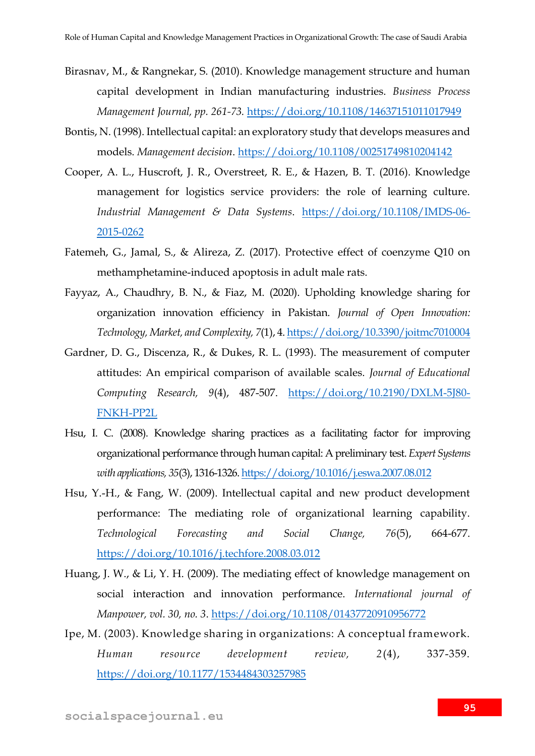- Birasnav, M., & Rangnekar, S. (2010). Knowledge management structure and human capital development in Indian manufacturing industries. *Business Process Management Journal, pp. 261-73.* <https://doi.org/10.1108/14637151011017949>
- Bontis, N. (1998). Intellectual capital: an exploratory study that develops measures and models. *Management decision*.<https://doi.org/10.1108/00251749810204142>
- Cooper, A. L., Huscroft, J. R., Overstreet, R. E., & Hazen, B. T. (2016). Knowledge management for logistics service providers: the role of learning culture. *Industrial Management & Data Systems*. [https://doi.org/10.1108/IMDS-06-](https://doi.org/10.1108/IMDS-06-2015-0262) [2015-0262](https://doi.org/10.1108/IMDS-06-2015-0262)
- Fatemeh, G., Jamal, S., & Alireza, Z. (2017). Protective effect of coenzyme Q10 on methamphetamine-induced apoptosis in adult male rats.
- Fayyaz, A., Chaudhry, B. N., & Fiaz, M. (2020). Upholding knowledge sharing for organization innovation efficiency in Pakistan. *Journal of Open Innovation: Technology, Market, and Complexity, 7*(1), 4[. https://doi.org/10.3390/joitmc7010004](https://doi.org/10.3390/joitmc7010004)
- Gardner, D. G., Discenza, R., & Dukes, R. L. (1993). The measurement of computer attitudes: An empirical comparison of available scales. *Journal of Educational Computing Research, 9*(4), 487-507. [https://doi.org/10.2190/DXLM-5J80-](https://doi.org/10.2190/DXLM-5J80-FNKH-PP2L) [FNKH-PP2L](https://doi.org/10.2190/DXLM-5J80-FNKH-PP2L)
- Hsu, I. C. (2008). Knowledge sharing practices as a facilitating factor for improving organizational performance through human capital: A preliminary test. *Expert Systems with applications, 35*(3), 1316-1326[. https://doi.org/10.1016/j.eswa.2007.08.012](https://doi.org/10.1016/j.eswa.2007.08.012)
- Hsu, Y.-H., & Fang, W. (2009). Intellectual capital and new product development performance: The mediating role of organizational learning capability. *Technological Forecasting and Social Change, 76*(5), 664-677. <https://doi.org/10.1016/j.techfore.2008.03.012>
- Huang, J. W., & Li, Y. H. (2009). The mediating effect of knowledge management on social interaction and innovation performance. *International journal of Manpower, vol. 30, no. 3*.<https://doi.org/10.1108/01437720910956772>
- Ipe, M. (2003). Knowledge sharing in organizations: A conceptual framework. *Human resource development review, 2*(4), 337-359. <https://doi.org/10.1177/1534484303257985>